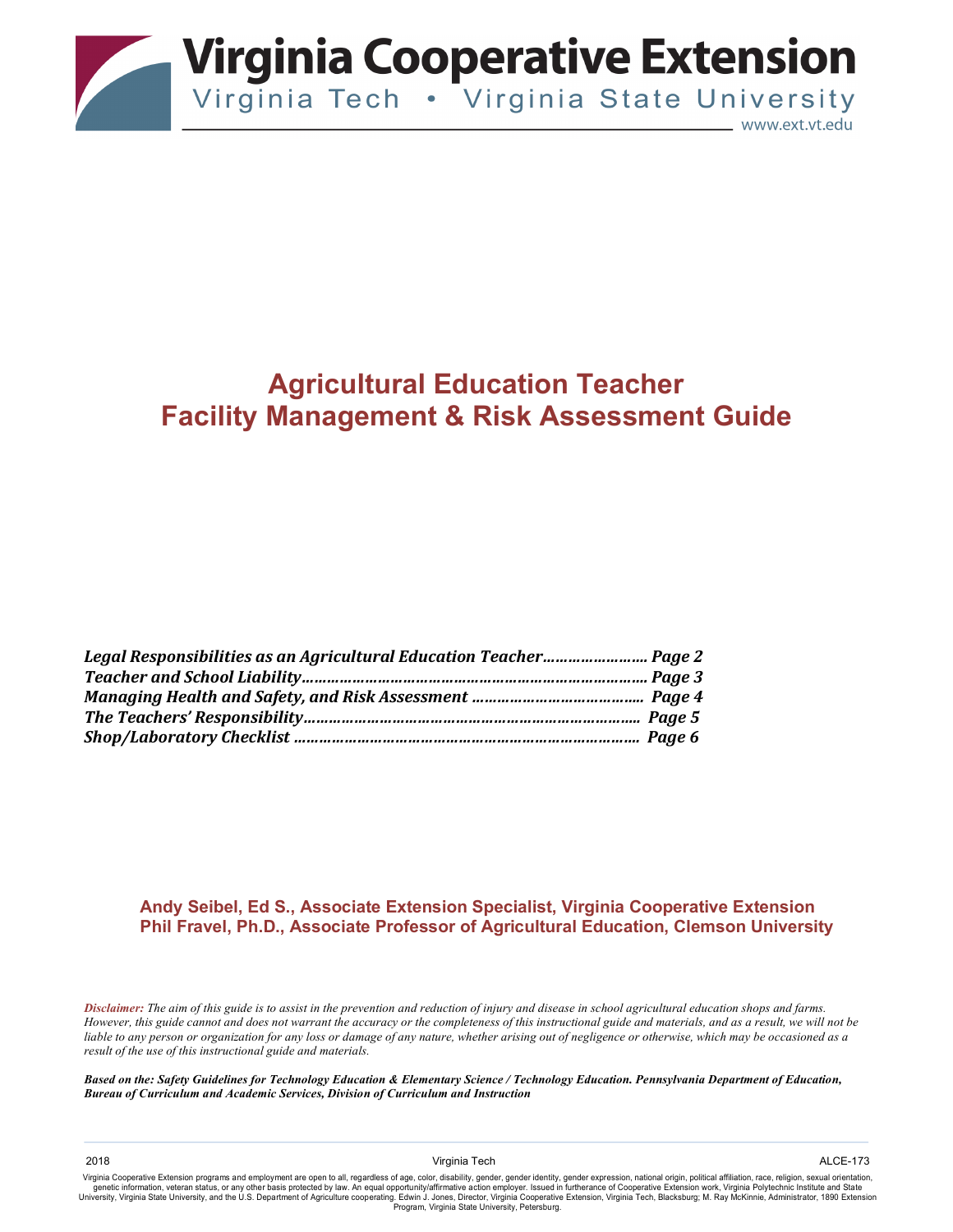

# **Agricultural Education Teacher Facility Management & Risk Assessment Guide**

#### **Andy Seibel, Ed S., Associate Extension Specialist, Virginia Cooperative Extension Phil Fravel, Ph.D., Associate Professor of Agricultural Education, Clemson University**

*Disclaimer: The aim of this guide is to assist in the prevention and reduction of injury and disease in school agricultural education shops and farms. However, this guide cannot and does not warrant the accuracy or the completeness of this instructional guide and materials, and as a result, we will not be liable to any person or organization for any loss or damage of any nature, whether arising out of negligence or otherwise, which may be occasioned as a result of the use of this instructional guide and materials.*

Virginia Cooperative Extension programs and employment are open to all, regardless of age, color, disability, gender, gender identity, gender expression, national origin, political affiliation, race, religion, sexual orien University, Virginia State University, and the U.S. Department of Agriculture cooperating. Edwin J. Jones, Director, Virginia Cooperative Extension, Virginia Tech, Blacksburg; M. Ray McKinnie, Administrator, 1890 Extension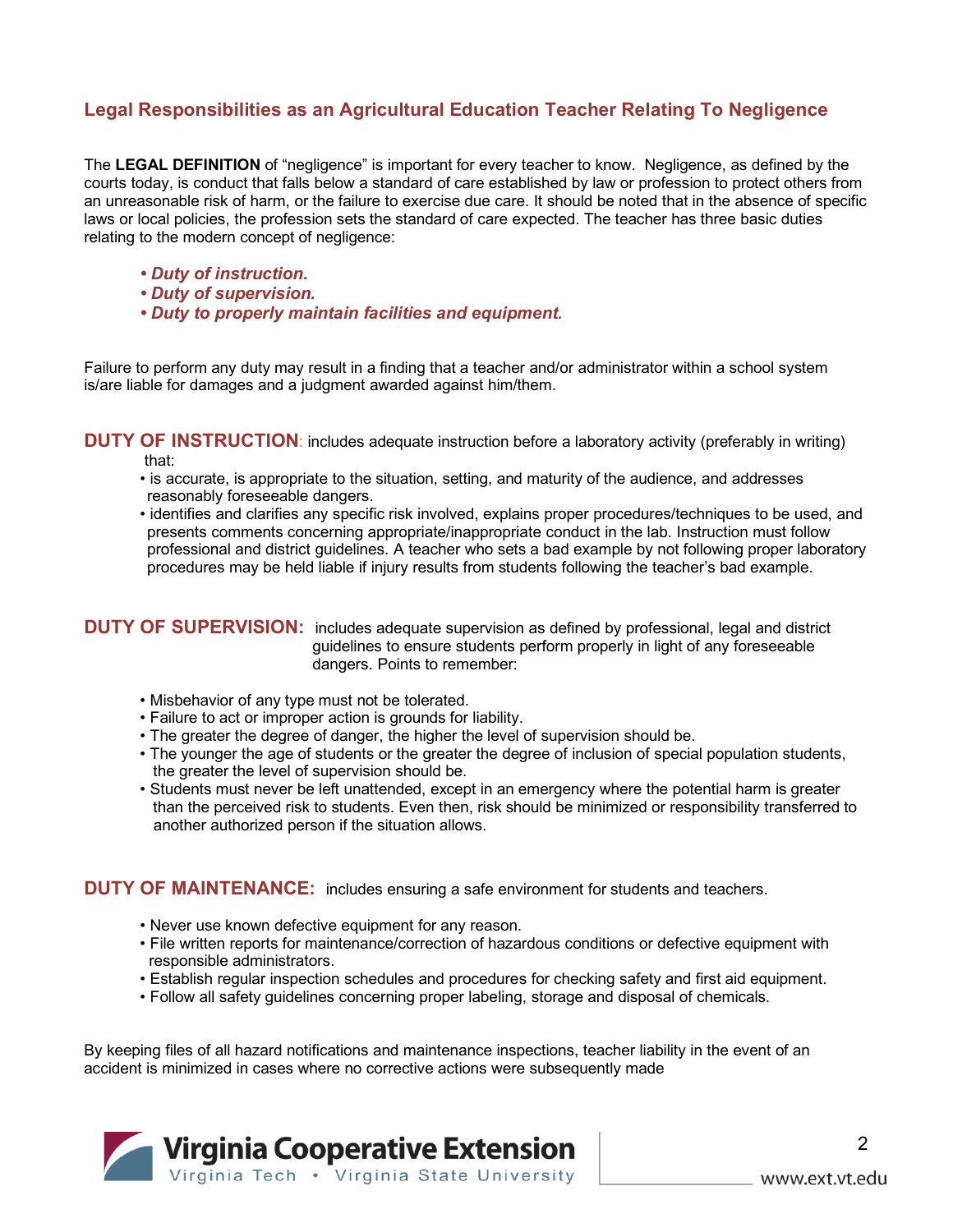### **Legal Responsibilities as an Agricultural Education Teacher Relating To Negligence**

The **LEGAL DEFINITION** of "negligence" is important for every teacher to know. Negligence, as defined by the courts today, is conduct that falls below a standard of care established by law or profession to protect others from an unreasonable risk of harm, or the failure to exercise due care. It should be noted that in the absence of specific laws or local policies, the profession sets the standard of care expected. The teacher has three basic duties relating to the modern concept of negligence:

- *Duty of instruction.*
- *Duty of supervision.*
- *Duty to properly maintain facilities and equipment.*

Failure to perform any duty may result in a finding that a teacher and/or administrator within a school system is/are liable for damages and a judgment awarded against him/them.

**DUTY OF INSTRUCTION**: includes adequate instruction before a laboratory activity (preferably in writing) that:

- is accurate, is appropriate to the situation, setting, and maturity of the audience, and addresses reasonably foreseeable dangers.
- identifies and clarifies any specific risk involved, explains proper procedures/techniques to be used, and presents comments concerning appropriate/inappropriate conduct in the lab. Instruction must follow professional and district guidelines. A teacher who sets a bad example by not following proper laboratory procedures may be held liable if injury results from students following the teacher's bad example.

**DUTY OF SUPERVISION:** includes adequate supervision as defined by professional, legal and district guidelines to ensure students perform properly in light of any foreseeable dangers. Points to remember:

- Misbehavior of any type must not be tolerated.
- Failure to act or improper action is grounds for liability.
- The greater the degree of danger, the higher the level of supervision should be.
- The younger the age of students or the greater the degree of inclusion of special population students, the greater the level of supervision should be.
- Students must never be left unattended, except in an emergency where the potential harm is greater than the perceived risk to students. Even then, risk should be minimized or responsibility transferred to another authorized person if the situation allows.

#### **DUTY OF MAINTENANCE:** includes ensuring a safe environment for students and teachers.

- Never use known defective equipment for any reason.
- File written reports for maintenance/correction of hazardous conditions or defective equipment with responsible administrators.
- Establish regular inspection schedules and procedures for checking safety and first aid equipment.
- Follow all safety guidelines concerning proper labeling, storage and disposal of chemicals.

By keeping files of all hazard notifications and maintenance inspections, teacher liability in the event of an accident is minimized in cases where no corrective actions were subsequently made

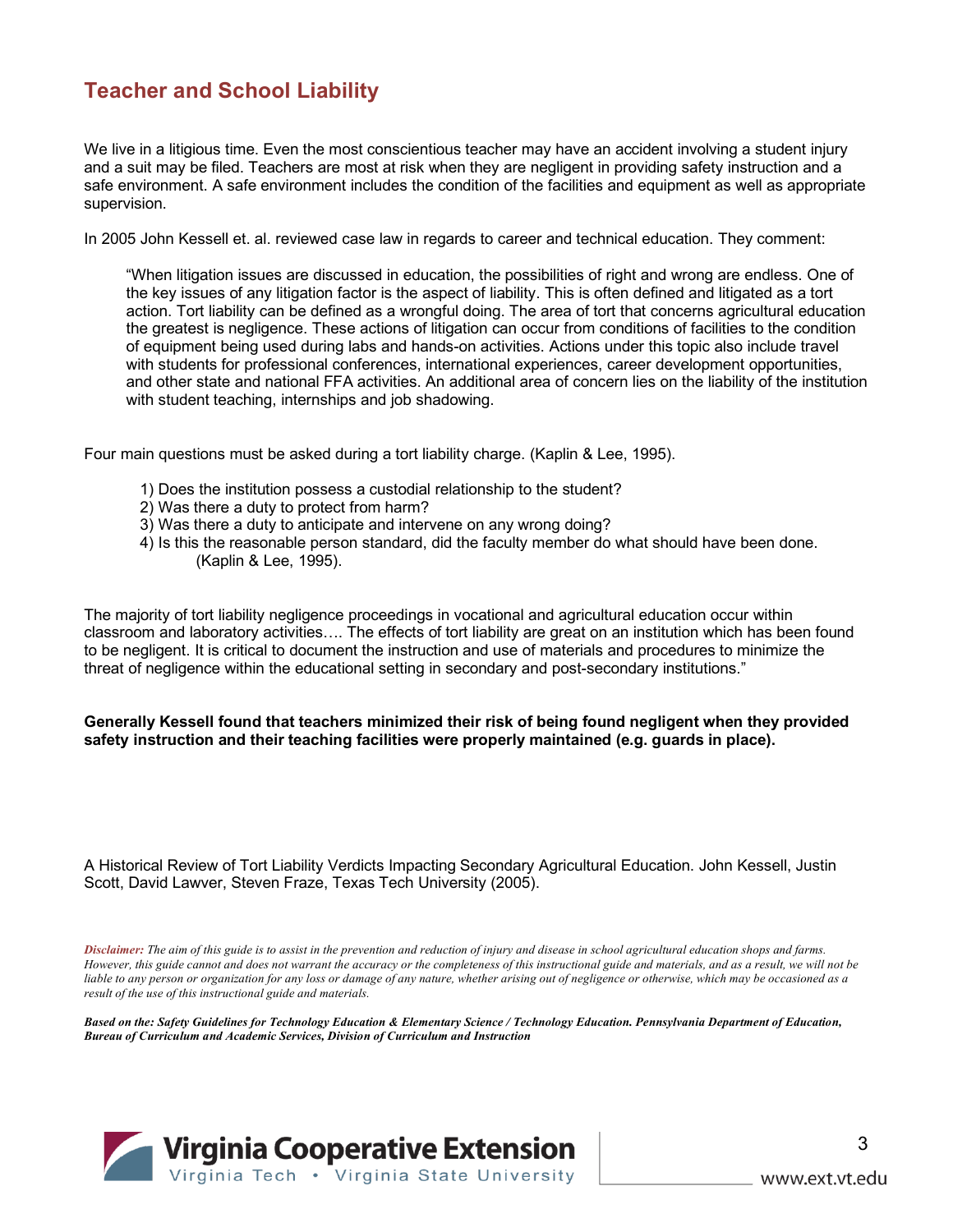## **Teacher and School Liability**

We live in a litigious time. Even the most conscientious teacher may have an accident involving a student injury and a suit may be filed. Teachers are most at risk when they are negligent in providing safety instruction and a safe environment. A safe environment includes the condition of the facilities and equipment as well as appropriate supervision.

In 2005 John Kessell et. al. reviewed case law in regards to career and technical education. They comment:

"When litigation issues are discussed in education, the possibilities of right and wrong are endless. One of the key issues of any litigation factor is the aspect of liability. This is often defined and litigated as a tort action. Tort liability can be defined as a wrongful doing. The area of tort that concerns agricultural education the greatest is negligence. These actions of litigation can occur from conditions of facilities to the condition of equipment being used during labs and hands-on activities. Actions under this topic also include travel with students for professional conferences, international experiences, career development opportunities, and other state and national FFA activities. An additional area of concern lies on the liability of the institution with student teaching, internships and job shadowing.

Four main questions must be asked during a tort liability charge. (Kaplin & Lee, 1995).

- 1) Does the institution possess a custodial relationship to the student?
- 2) Was there a duty to protect from harm?
- 3) Was there a duty to anticipate and intervene on any wrong doing?
- 4) Is this the reasonable person standard, did the faculty member do what should have been done. (Kaplin & Lee, 1995).

The majority of tort liability negligence proceedings in vocational and agricultural education occur within classroom and laboratory activities…. The effects of tort liability are great on an institution which has been found to be negligent. It is critical to document the instruction and use of materials and procedures to minimize the threat of negligence within the educational setting in secondary and post-secondary institutions."

#### **Generally Kessell found that teachers minimized their risk of being found negligent when they provided safety instruction and their teaching facilities were properly maintained (e.g. guards in place).**

A Historical Review of Tort Liability Verdicts Impacting Secondary Agricultural Education. John Kessell, Justin Scott, David Lawver, Steven Fraze, Texas Tech University (2005).

*Disclaimer: The aim of this guide is to assist in the prevention and reduction of injury and disease in school agricultural education shops and farms. However, this guide cannot and does not warrant the accuracy or the completeness of this instructional guide and materials, and as a result, we will not be liable to any person or organization for any loss or damage of any nature, whether arising out of negligence or otherwise, which may be occasioned as a result of the use of this instructional guide and materials.*

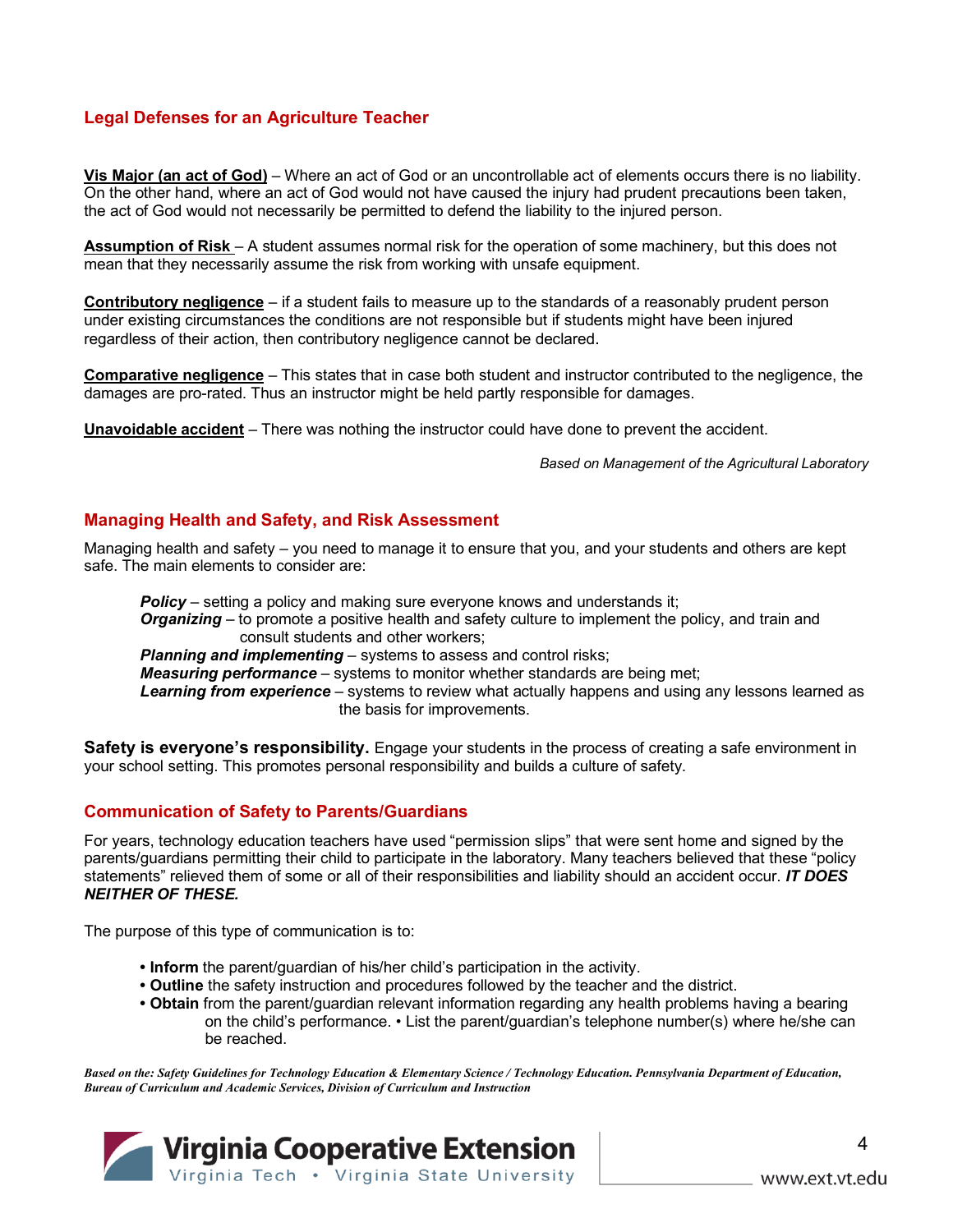#### **Legal Defenses for an Agriculture Teacher**

**Vis Major (an act of God)** – Where an act of God or an uncontrollable act of elements occurs there is no liability. On the other hand, where an act of God would not have caused the injury had prudent precautions been taken, the act of God would not necessarily be permitted to defend the liability to the injured person.

**Assumption of Risk** – A student assumes normal risk for the operation of some machinery, but this does not mean that they necessarily assume the risk from working with unsafe equipment.

**Contributory negligence** – if a student fails to measure up to the standards of a reasonably prudent person under existing circumstances the conditions are not responsible but if students might have been injured regardless of their action, then contributory negligence cannot be declared.

**Comparative negligence** – This states that in case both student and instructor contributed to the negligence, the damages are pro-rated. Thus an instructor might be held partly responsible for damages.

**Unavoidable accident** – There was nothing the instructor could have done to prevent the accident.

*Based on Management of the Agricultural Laboratory*

#### **Managing Health and Safety, and Risk Assessment**

Managing health and safety – you need to manage it to ensure that you, and your students and others are kept safe. The main elements to consider are:

**Policy** – setting a policy and making sure everyone knows and understands it; *Organizing* – to promote a positive health and safety culture to implement the policy, and train and consult students and other workers; *Planning and implementing* – systems to assess and control risks; *Measuring performance* – systems to monitor whether standards are being met;

*Learning from experience* – systems to review what actually happens and using any lessons learned as the basis for improvements.

**Safety is everyone's responsibility.** Engage your students in the process of creating a safe environment in your school setting. This promotes personal responsibility and builds a culture of safety.

#### **Communication of Safety to Parents/Guardians**

For years, technology education teachers have used "permission slips" that were sent home and signed by the parents/guardians permitting their child to participate in the laboratory. Many teachers believed that these "policy statements" relieved them of some or all of their responsibilities and liability should an accident occur. *IT DOES NEITHER OF THESE.*

The purpose of this type of communication is to:

- **Inform** the parent/guardian of his/her child's participation in the activity.
- **Outline** the safety instruction and procedures followed by the teacher and the district.
- **Obtain** from the parent/guardian relevant information regarding any health problems having a bearing on the child's performance. • List the parent/guardian's telephone number(s) where he/she can be reached.

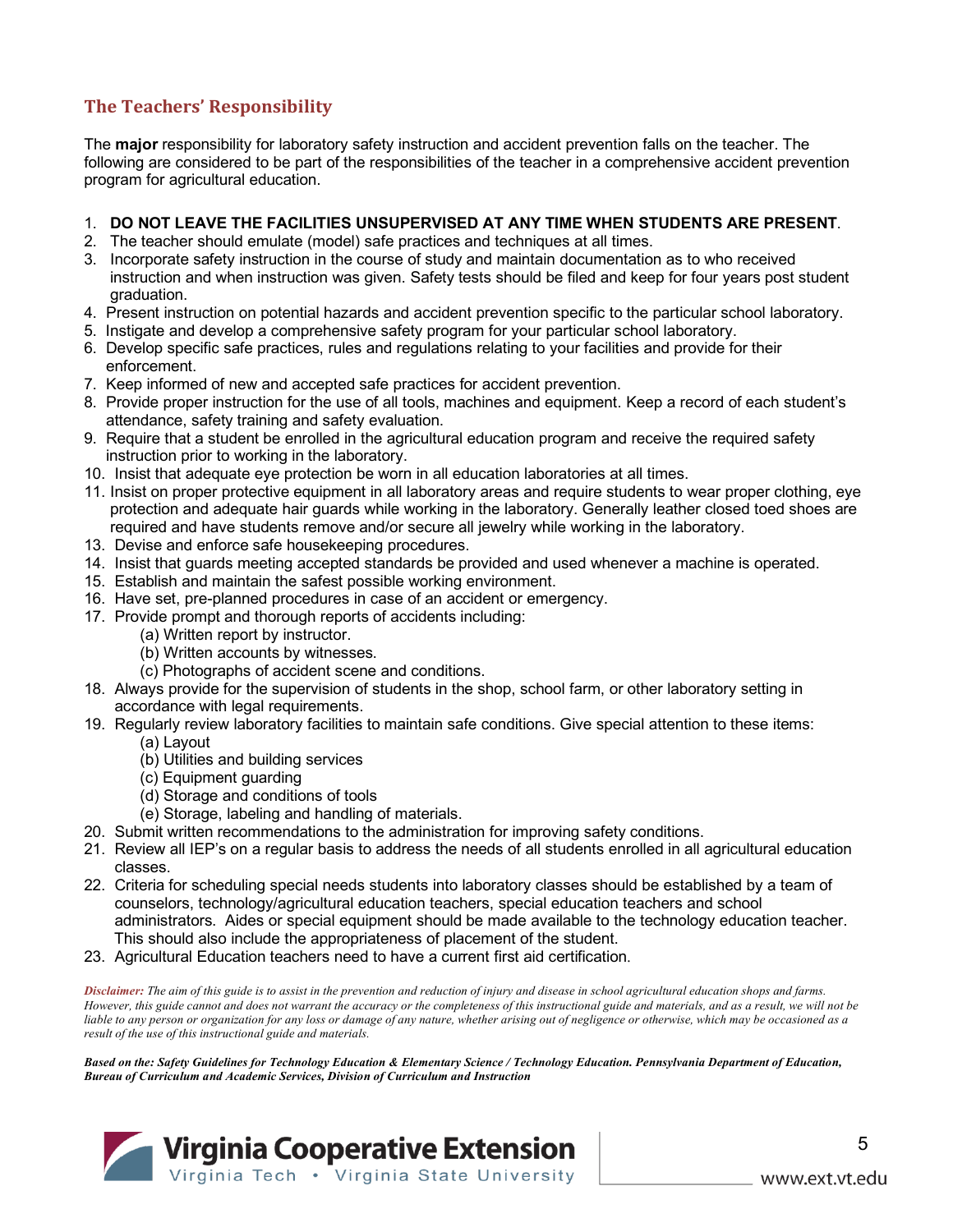## **The Teachers' Responsibility**

The **major** responsibility for laboratory safety instruction and accident prevention falls on the teacher. The following are considered to be part of the responsibilities of the teacher in a comprehensive accident prevention program for agricultural education.

#### 1. **DO NOT LEAVE THE FACILITIES UNSUPERVISED AT ANY TIME WHEN STUDENTS ARE PRESENT**.

- 2. The teacher should emulate (model) safe practices and techniques at all times.
- 3. Incorporate safety instruction in the course of study and maintain documentation as to who received instruction and when instruction was given. Safety tests should be filed and keep for four years post student graduation.
- 4. Present instruction on potential hazards and accident prevention specific to the particular school laboratory.
- 5. Instigate and develop a comprehensive safety program for your particular school laboratory.
- 6. Develop specific safe practices, rules and regulations relating to your facilities and provide for their enforcement.
- 7. Keep informed of new and accepted safe practices for accident prevention.
- 8. Provide proper instruction for the use of all tools, machines and equipment. Keep a record of each student's attendance, safety training and safety evaluation.
- 9. Require that a student be enrolled in the agricultural education program and receive the required safety instruction prior to working in the laboratory.
- 10. Insist that adequate eye protection be worn in all education laboratories at all times.
- 11. Insist on proper protective equipment in all laboratory areas and require students to wear proper clothing, eye protection and adequate hair guards while working in the laboratory. Generally leather closed toed shoes are required and have students remove and/or secure all jewelry while working in the laboratory.
- 13. Devise and enforce safe housekeeping procedures.
- 14. Insist that guards meeting accepted standards be provided and used whenever a machine is operated.
- 15. Establish and maintain the safest possible working environment.
- 16. Have set, pre-planned procedures in case of an accident or emergency.
- 17. Provide prompt and thorough reports of accidents including:
	- (a) Written report by instructor.
	- (b) Written accounts by witnesses.
	- (c) Photographs of accident scene and conditions.
- 18. Always provide for the supervision of students in the shop, school farm, or other laboratory setting in accordance with legal requirements.
- 19. Regularly review laboratory facilities to maintain safe conditions. Give special attention to these items:
	- (a) Layout
	- (b) Utilities and building services
	- (c) Equipment guarding
	- (d) Storage and conditions of tools
	- (e) Storage, labeling and handling of materials.
- 20. Submit written recommendations to the administration for improving safety conditions.
- 21. Review all IEP's on a regular basis to address the needs of all students enrolled in all agricultural education classes.
- 22. Criteria for scheduling special needs students into laboratory classes should be established by a team of counselors, technology/agricultural education teachers, special education teachers and school administrators. Aides or special equipment should be made available to the technology education teacher. This should also include the appropriateness of placement of the student.
- 23. Agricultural Education teachers need to have a current first aid certification.

*Disclaimer: The aim of this guide is to assist in the prevention and reduction of injury and disease in school agricultural education shops and farms. However, this guide cannot and does not warrant the accuracy or the completeness of this instructional guide and materials, and as a result, we will not be liable to any person or organization for any loss or damage of any nature, whether arising out of negligence or otherwise, which may be occasioned as a result of the use of this instructional guide and materials.*

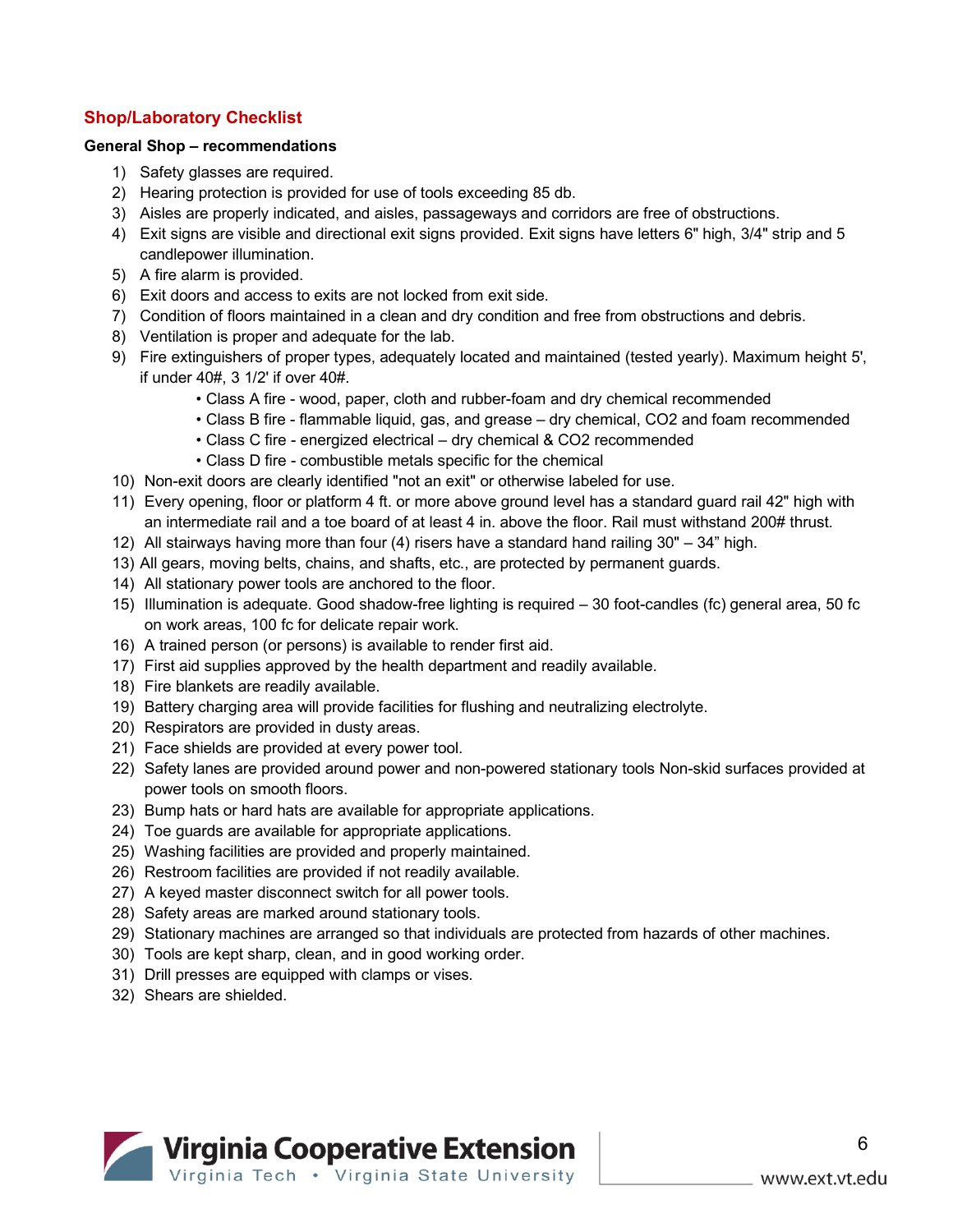#### **Shop/Laboratory Checklist**

#### **General Shop – recommendations**

- 1) Safety glasses are required.
- 2) Hearing protection is provided for use of tools exceeding 85 db.
- 3) Aisles are properly indicated, and aisles, passageways and corridors are free of obstructions.
- 4) Exit signs are visible and directional exit signs provided. Exit signs have letters 6" high, 3/4" strip and 5 candlepower illumination.
- 5) A fire alarm is provided.
- 6) Exit doors and access to exits are not locked from exit side.
- 7) Condition of floors maintained in a clean and dry condition and free from obstructions and debris.
- 8) Ventilation is proper and adequate for the lab.
- 9) Fire extinguishers of proper types, adequately located and maintained (tested yearly). Maximum height 5', if under 40#, 3 1/2' if over 40#.
	- Class A fire wood, paper, cloth and rubber-foam and dry chemical recommended
	- Class B fire flammable liquid, gas, and grease dry chemical, CO2 and foam recommended
	- Class C fire energized electrical dry chemical & CO2 recommended
	- Class D fire combustible metals specific for the chemical
- 10) Non-exit doors are clearly identified "not an exit" or otherwise labeled for use.
- 11) Every opening, floor or platform 4 ft. or more above ground level has a standard guard rail 42" high with an intermediate rail and a toe board of at least 4 in. above the floor. Rail must withstand 200# thrust.
- 12) All stairways having more than four (4) risers have a standard hand railing 30" 34" high.
- 13) All gears, moving belts, chains, and shafts, etc., are protected by permanent guards.
- 14) All stationary power tools are anchored to the floor.
- 15) Illumination is adequate. Good shadow-free lighting is required 30 foot-candles (fc) general area, 50 fc on work areas, 100 fc for delicate repair work.
- 16) A trained person (or persons) is available to render first aid.
- 17) First aid supplies approved by the health department and readily available.
- 18) Fire blankets are readily available.
- 19) Battery charging area will provide facilities for flushing and neutralizing electrolyte.
- 20) Respirators are provided in dusty areas.
- 21) Face shields are provided at every power tool.
- 22) Safety lanes are provided around power and non-powered stationary tools Non-skid surfaces provided at power tools on smooth floors.
- 23) Bump hats or hard hats are available for appropriate applications.
- 24) Toe guards are available for appropriate applications.
- 25) Washing facilities are provided and properly maintained.
- 26) Restroom facilities are provided if not readily available.
- 27) A keyed master disconnect switch for all power tools.
- 28) Safety areas are marked around stationary tools.
- 29) Stationary machines are arranged so that individuals are protected from hazards of other machines.
- 30) Tools are kept sharp, clean, and in good working order.
- 31) Drill presses are equipped with clamps or vises.
- 32) Shears are shielded.

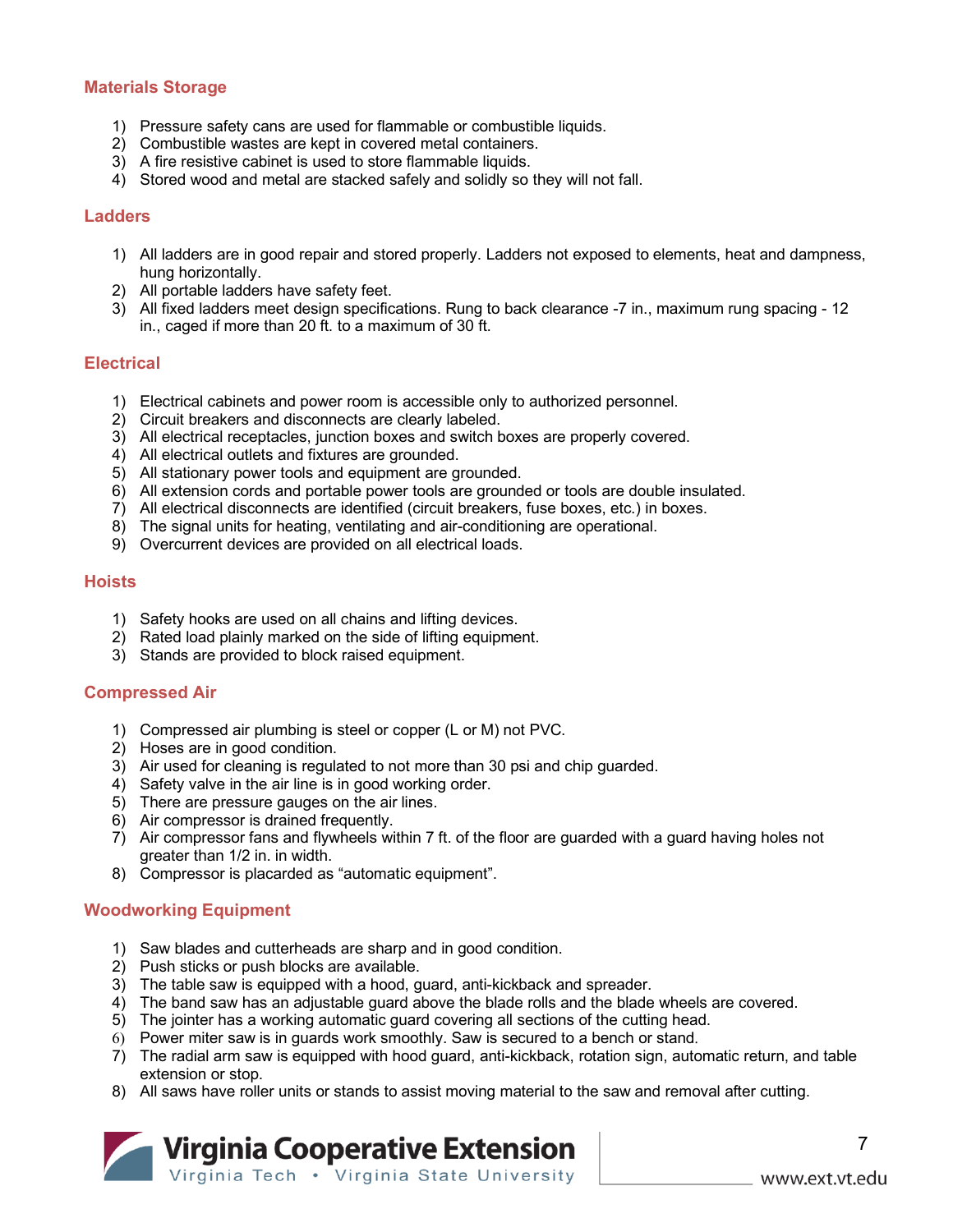#### **Materials Storage**

- 1) Pressure safety cans are used for flammable or combustible liquids.
- 2) Combustible wastes are kept in covered metal containers.
- 3) A fire resistive cabinet is used to store flammable liquids.
- 4) Stored wood and metal are stacked safely and solidly so they will not fall.

#### **Ladders**

- 1) All ladders are in good repair and stored properly. Ladders not exposed to elements, heat and dampness, hung horizontally.
- 2) All portable ladders have safety feet.
- 3) All fixed ladders meet design specifications. Rung to back clearance -7 in., maximum rung spacing 12 in., caged if more than 20 ft. to a maximum of 30 ft.

#### **Electrical**

- 1) Electrical cabinets and power room is accessible only to authorized personnel.
- 2) Circuit breakers and disconnects are clearly labeled.
- 3) All electrical receptacles, junction boxes and switch boxes are properly covered.
- 4) All electrical outlets and fixtures are grounded.
- 5) All stationary power tools and equipment are grounded.
- 6) All extension cords and portable power tools are grounded or tools are double insulated.
- 7) All electrical disconnects are identified (circuit breakers, fuse boxes, etc.) in boxes.
- 8) The signal units for heating, ventilating and air-conditioning are operational.
- 9) Overcurrent devices are provided on all electrical loads.

#### **Hoists**

- 1) Safety hooks are used on all chains and lifting devices.
- 2) Rated load plainly marked on the side of lifting equipment.
- 3) Stands are provided to block raised equipment.

#### **Compressed Air**

- 1) Compressed air plumbing is steel or copper (L or M) not PVC.
- 2) Hoses are in good condition.
- 3) Air used for cleaning is regulated to not more than 30 psi and chip guarded.
- 4) Safety valve in the air line is in good working order.
- 5) There are pressure gauges on the air lines.
- 6) Air compressor is drained frequently.
- 7) Air compressor fans and flywheels within 7 ft. of the floor are guarded with a guard having holes not greater than 1/2 in. in width.
- 8) Compressor is placarded as "automatic equipment".

#### **Woodworking Equipment**

- 1) Saw blades and cutterheads are sharp and in good condition.
- 2) Push sticks or push blocks are available.
- 3) The table saw is equipped with a hood, guard, anti-kickback and spreader.
- 4) The band saw has an adjustable guard above the blade rolls and the blade wheels are covered.
- 5) The jointer has a working automatic guard covering all sections of the cutting head.
- 6) Power miter saw is in guards work smoothly. Saw is secured to a bench or stand.
- 7) The radial arm saw is equipped with hood guard, anti-kickback, rotation sign, automatic return, and table extension or stop.
- 8) All saws have roller units or stands to assist moving material to the saw and removal after cutting.

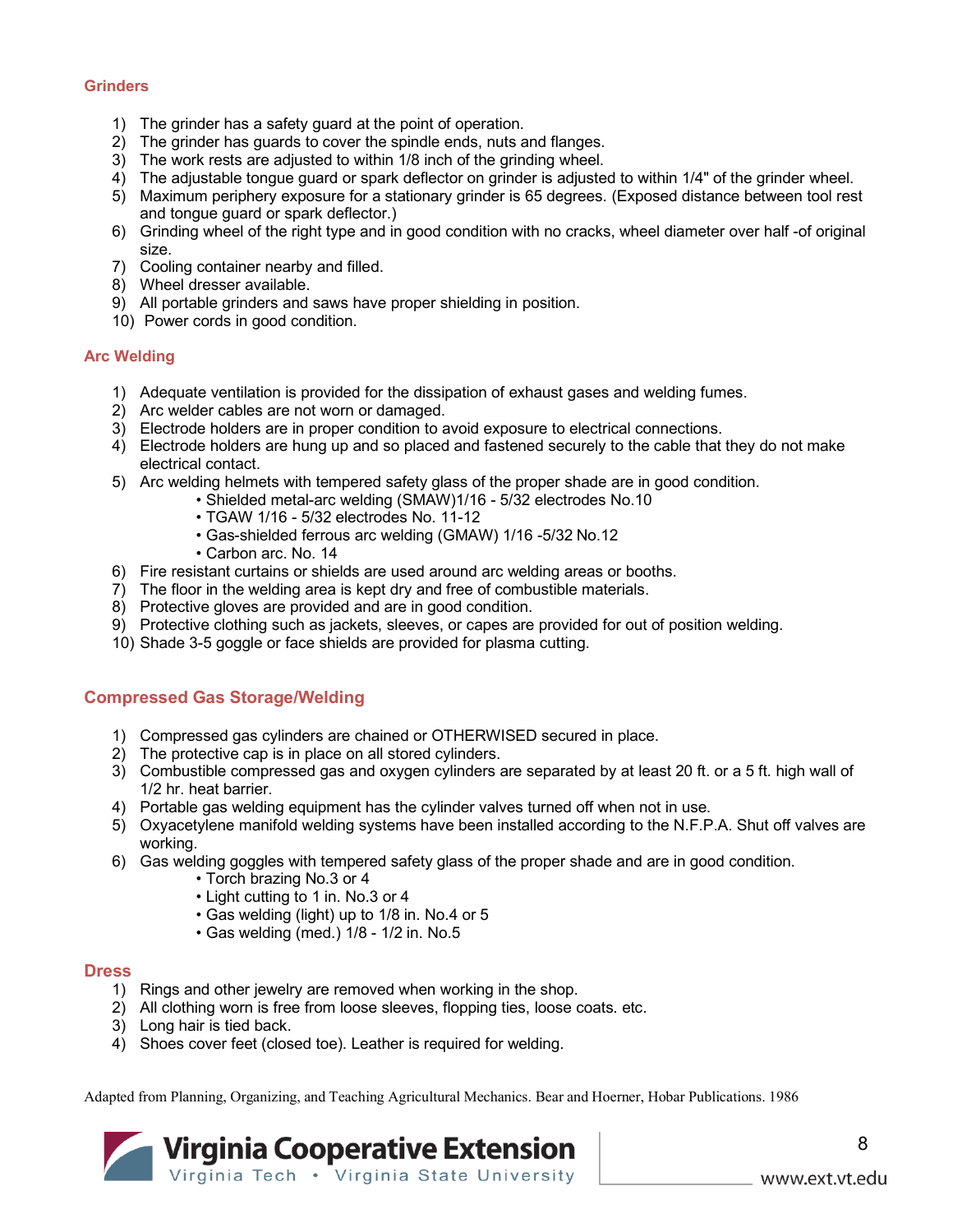#### **Grinders**

- 1) The grinder has a safety guard at the point of operation.
- 2) The grinder has guards to cover the spindle ends, nuts and flanges.
- 3) The work rests are adjusted to within 1/8 inch of the grinding wheel.
- 4) The adjustable tongue guard or spark deflector on grinder is adjusted to within 1/4" of the grinder wheel.
- 5) Maximum periphery exposure for a stationary grinder is 65 degrees. (Exposed distance between tool rest and tongue guard or spark deflector.)
- 6) Grinding wheel of the right type and in good condition with no cracks, wheel diameter over half -of original size.
- 7) Cooling container nearby and filled.
- 8) Wheel dresser available.
- 9) All portable grinders and saws have proper shielding in position.
- 10) Power cords in good condition.

#### **Arc Welding**

- 1) Adequate ventilation is provided for the dissipation of exhaust gases and welding fumes.
- 2) Arc welder cables are not worn or damaged.
- 3) Electrode holders are in proper condition to avoid exposure to electrical connections.
- 4) Electrode holders are hung up and so placed and fastened securely to the cable that they do not make electrical contact.
- 5) Arc welding helmets with tempered safety glass of the proper shade are in good condition.
	- Shielded metal-arc welding (SMAW)1/16 5/32 electrodes No.10
		- TGAW 1/16 5/32 electrodes No. 11-12
		- Gas-shielded ferrous arc welding (GMAW) 1/16 -5/32 No.12
		- Carbon arc. No. 14
- 6) Fire resistant curtains or shields are used around arc welding areas or booths.
- 7) The floor in the welding area is kept dry and free of combustible materials.
- 8) Protective gloves are provided and are in good condition.
- 9) Protective clothing such as jackets, sleeves, or capes are provided for out of position welding.
- 10) Shade 3-5 goggle or face shields are provided for plasma cutting.

#### **Compressed Gas Storage/Welding**

- 1) Compressed gas cylinders are chained or OTHERWISED secured in place.
- 2) The protective cap is in place on all stored cylinders.
- 3) Combustible compressed gas and oxygen cylinders are separated by at least 20 ft. or a 5 ft. high wall of 1/2 hr. heat barrier.
- 4) Portable gas welding equipment has the cylinder valves turned off when not in use.
- 5) Oxyacetylene manifold welding systems have been installed according to the N.F.P.A. Shut off valves are working.
- 6) Gas welding goggles with tempered safety glass of the proper shade and are in good condition.
	- Torch brazing No.3 or 4
	- Light cutting to 1 in. No.3 or 4
	- Gas welding (light) up to 1/8 in. No.4 or 5
	- Gas welding (med.) 1/8 1/2 in. No.5

#### **Dress**

- 1) Rings and other jewelry are removed when working in the shop.
- 2) All clothing worn is free from loose sleeves, flopping ties, loose coats. etc.
- 3) Long hair is tied back.
- 4) Shoes cover feet (closed toe). Leather is required for welding.

Adapted from Planning, Organizing, and Teaching Agricultural Mechanics. Bear and Hoerner, Hobar Publications. 1986